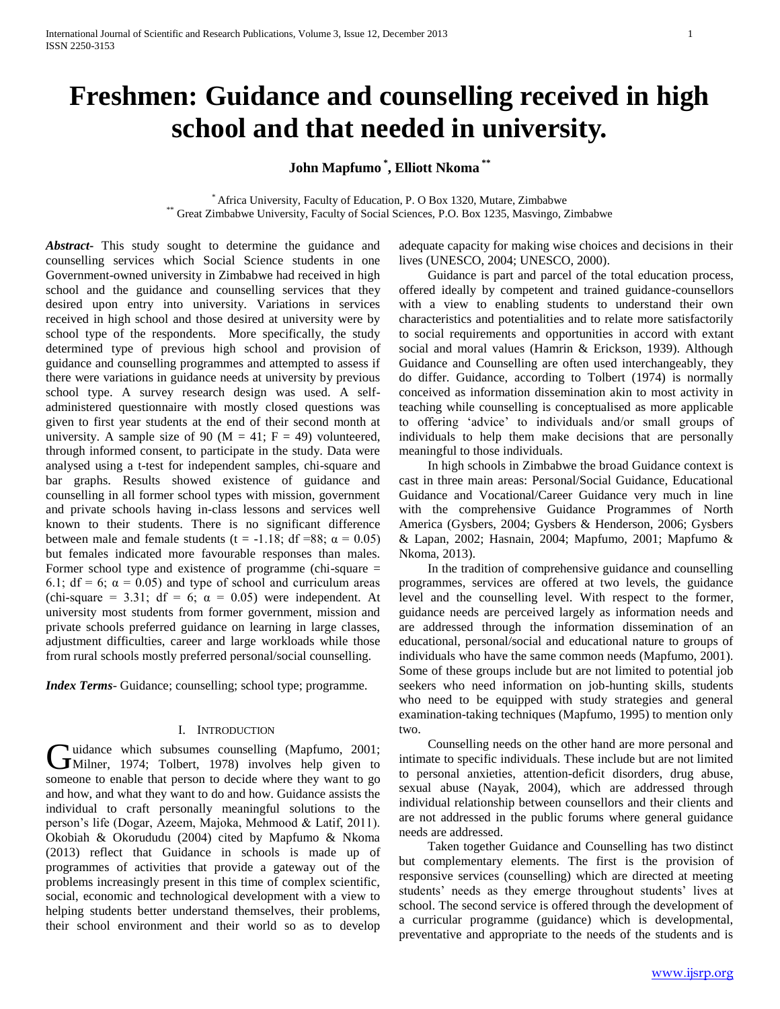# **Freshmen: Guidance and counselling received in high school and that needed in university.**

**John Mapfumo \* , Elliott Nkoma \*\***

\* Africa University, Faculty of Education, P. O Box 1320, Mutare, Zimbabwe \*\* Great Zimbabwe University, Faculty of Social Sciences, P.O. Box 1235, Masvingo, Zimbabwe

*Abstract***-** This study sought to determine the guidance and counselling services which Social Science students in one Government-owned university in Zimbabwe had received in high school and the guidance and counselling services that they desired upon entry into university. Variations in services received in high school and those desired at university were by school type of the respondents. More specifically, the study determined type of previous high school and provision of guidance and counselling programmes and attempted to assess if there were variations in guidance needs at university by previous school type. A survey research design was used. A selfadministered questionnaire with mostly closed questions was given to first year students at the end of their second month at university. A sample size of 90 ( $M = 41$ ;  $F = 49$ ) volunteered, through informed consent, to participate in the study. Data were analysed using a t-test for independent samples, chi-square and bar graphs. Results showed existence of guidance and counselling in all former school types with mission, government and private schools having in-class lessons and services well known to their students. There is no significant difference between male and female students (t = -1.18; df =88;  $\alpha$  = 0.05) but females indicated more favourable responses than males. Former school type and existence of programme (chi-square = 6.1; df = 6;  $\alpha$  = 0.05) and type of school and curriculum areas (chi-square = 3.31; df = 6;  $\alpha$  = 0.05) were independent. At university most students from former government, mission and private schools preferred guidance on learning in large classes, adjustment difficulties, career and large workloads while those from rural schools mostly preferred personal/social counselling.

*Index Terms*- Guidance; counselling; school type; programme.

## I. INTRODUCTION

I uidance which subsumes counselling (Mapfumo, 2001; Guidance which subsumes counselling (Mapfumo, 2001;<br>
Milner, 1974; Tolbert, 1978) involves help given to someone to enable that person to decide where they want to go and how, and what they want to do and how. Guidance assists the individual to craft personally meaningful solutions to the person's life (Dogar, Azeem, Majoka, Mehmood & Latif, 2011). Okobiah & Okorududu (2004) cited by Mapfumo & Nkoma (2013) reflect that Guidance in schools is made up of programmes of activities that provide a gateway out of the problems increasingly present in this time of complex scientific, social, economic and technological development with a view to helping students better understand themselves, their problems, their school environment and their world so as to develop

adequate capacity for making wise choices and decisions in their lives (UNESCO, 2004; UNESCO, 2000).

 Guidance is part and parcel of the total education process, offered ideally by competent and trained guidance-counsellors with a view to enabling students to understand their own characteristics and potentialities and to relate more satisfactorily to social requirements and opportunities in accord with extant social and moral values (Hamrin & Erickson, 1939). Although Guidance and Counselling are often used interchangeably, they do differ. Guidance, according to Tolbert (1974) is normally conceived as information dissemination akin to most activity in teaching while counselling is conceptualised as more applicable to offering 'advice' to individuals and/or small groups of individuals to help them make decisions that are personally meaningful to those individuals.

 In high schools in Zimbabwe the broad Guidance context is cast in three main areas: Personal/Social Guidance, Educational Guidance and Vocational/Career Guidance very much in line with the comprehensive Guidance Programmes of North America (Gysbers, 2004; Gysbers & Henderson, 2006; Gysbers & Lapan, 2002; Hasnain, 2004; Mapfumo, 2001; Mapfumo & Nkoma, 2013).

 In the tradition of comprehensive guidance and counselling programmes, services are offered at two levels, the guidance level and the counselling level. With respect to the former, guidance needs are perceived largely as information needs and are addressed through the information dissemination of an educational, personal/social and educational nature to groups of individuals who have the same common needs (Mapfumo, 2001). Some of these groups include but are not limited to potential job seekers who need information on job-hunting skills, students who need to be equipped with study strategies and general examination-taking techniques (Mapfumo, 1995) to mention only two.

 Counselling needs on the other hand are more personal and intimate to specific individuals. These include but are not limited to personal anxieties, attention-deficit disorders, drug abuse, sexual abuse (Nayak, 2004), which are addressed through individual relationship between counsellors and their clients and are not addressed in the public forums where general guidance needs are addressed.

 Taken together Guidance and Counselling has two distinct but complementary elements. The first is the provision of responsive services (counselling) which are directed at meeting students' needs as they emerge throughout students' lives at school. The second service is offered through the development of a curricular programme (guidance) which is developmental, preventative and appropriate to the needs of the students and is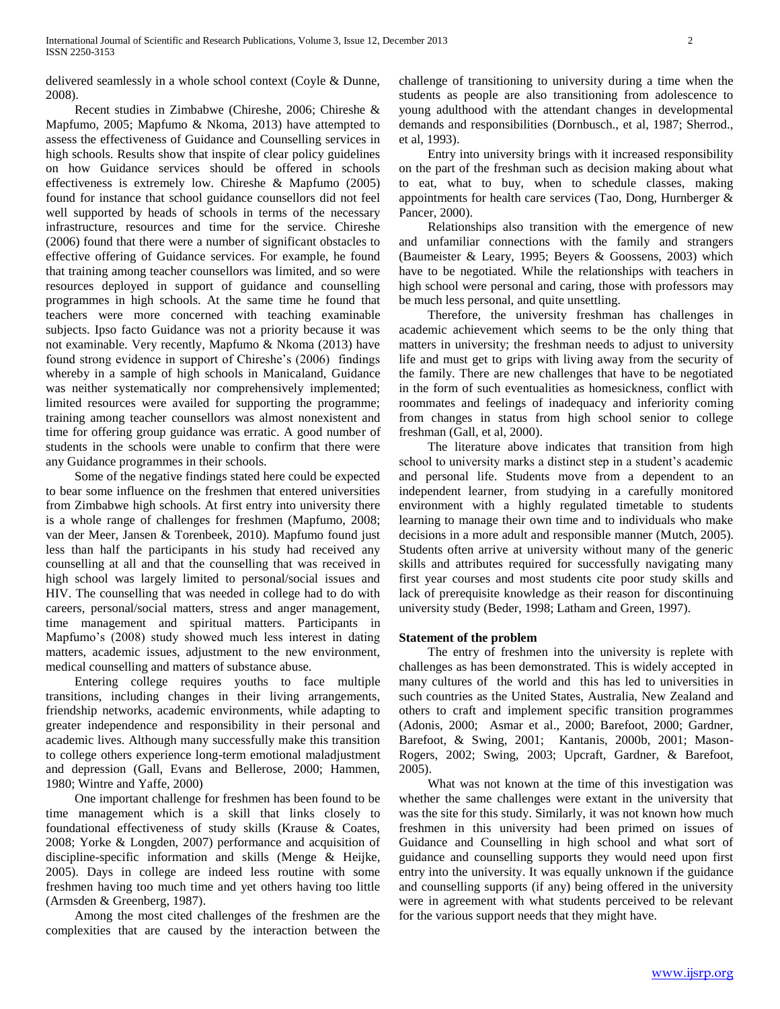delivered seamlessly in a whole school context (Coyle & Dunne, 2008).

 Recent studies in Zimbabwe (Chireshe, 2006; Chireshe & Mapfumo, 2005; Mapfumo & Nkoma, 2013) have attempted to assess the effectiveness of Guidance and Counselling services in high schools. Results show that inspite of clear policy guidelines on how Guidance services should be offered in schools effectiveness is extremely low. Chireshe & Mapfumo (2005) found for instance that school guidance counsellors did not feel well supported by heads of schools in terms of the necessary infrastructure, resources and time for the service. Chireshe (2006) found that there were a number of significant obstacles to effective offering of Guidance services. For example, he found that training among teacher counsellors was limited, and so were resources deployed in support of guidance and counselling programmes in high schools. At the same time he found that teachers were more concerned with teaching examinable subjects. Ipso facto Guidance was not a priority because it was not examinable. Very recently, Mapfumo & Nkoma (2013) have found strong evidence in support of Chireshe's (2006) findings whereby in a sample of high schools in Manicaland, Guidance was neither systematically nor comprehensively implemented; limited resources were availed for supporting the programme; training among teacher counsellors was almost nonexistent and time for offering group guidance was erratic. A good number of students in the schools were unable to confirm that there were any Guidance programmes in their schools.

 Some of the negative findings stated here could be expected to bear some influence on the freshmen that entered universities from Zimbabwe high schools. At first entry into university there is a whole range of challenges for freshmen (Mapfumo, 2008; van der Meer, Jansen & Torenbeek, 2010). Mapfumo found just less than half the participants in his study had received any counselling at all and that the counselling that was received in high school was largely limited to personal/social issues and HIV. The counselling that was needed in college had to do with careers, personal/social matters, stress and anger management, time management and spiritual matters. Participants in Mapfumo's (2008) study showed much less interest in dating matters, academic issues, adjustment to the new environment, medical counselling and matters of substance abuse.

 Entering college requires youths to face multiple transitions, including changes in their living arrangements, friendship networks, academic environments, while adapting to greater independence and responsibility in their personal and academic lives. Although many successfully make this transition to college others experience long-term emotional maladjustment and depression (Gall, Evans and Bellerose, 2000; Hammen, 1980; Wintre and Yaffe, 2000)

 One important challenge for freshmen has been found to be time management which is a skill that links closely to foundational effectiveness of study skills (Krause & Coates, 2008; Yorke & Longden, 2007) performance and acquisition of discipline-specific information and skills (Menge & Heijke, 2005). Days in college are indeed less routine with some freshmen having too much time and yet others having too little (Armsden & Greenberg, 1987).

 Among the most cited challenges of the freshmen are the complexities that are caused by the interaction between the

challenge of transitioning to university during a time when the students as people are also transitioning from adolescence to young adulthood with the attendant changes in developmental demands and responsibilities (Dornbusch., et al, 1987; Sherrod., et al, 1993).

 Entry into university brings with it increased responsibility on the part of the freshman such as decision making about what to eat, what to buy, when to schedule classes, making appointments for health care services (Tao, Dong, Hurnberger & Pancer, 2000).

 Relationships also transition with the emergence of new and unfamiliar connections with the family and strangers (Baumeister & Leary, 1995; Beyers & Goossens, 2003) which have to be negotiated. While the relationships with teachers in high school were personal and caring, those with professors may be much less personal, and quite unsettling.

 Therefore, the university freshman has challenges in academic achievement which seems to be the only thing that matters in university; the freshman needs to adjust to university life and must get to grips with living away from the security of the family. There are new challenges that have to be negotiated in the form of such eventualities as homesickness, conflict with roommates and feelings of inadequacy and inferiority coming from changes in status from high school senior to college freshman (Gall, et al, 2000).

 The literature above indicates that transition from high school to university marks a distinct step in a student's academic and personal life. Students move from a dependent to an independent learner, from studying in a carefully monitored environment with a highly regulated timetable to students learning to manage their own time and to individuals who make decisions in a more adult and responsible manner (Mutch, 2005). Students often arrive at university without many of the generic skills and attributes required for successfully navigating many first year courses and most students cite poor study skills and lack of prerequisite knowledge as their reason for discontinuing university study (Beder, 1998; Latham and Green, 1997).

# **Statement of the problem**

 The entry of freshmen into the university is replete with challenges as has been demonstrated. This is widely accepted in many cultures of the world and this has led to universities in such countries as the United States, Australia, New Zealand and others to craft and implement specific transition programmes (Adonis, 2000; Asmar et al., 2000; Barefoot, 2000; Gardner, Barefoot, & Swing, 2001; Kantanis, 2000b, 2001; Mason-Rogers, 2002; Swing, 2003; Upcraft, Gardner, & Barefoot, 2005).

 What was not known at the time of this investigation was whether the same challenges were extant in the university that was the site for this study. Similarly, it was not known how much freshmen in this university had been primed on issues of Guidance and Counselling in high school and what sort of guidance and counselling supports they would need upon first entry into the university. It was equally unknown if the guidance and counselling supports (if any) being offered in the university were in agreement with what students perceived to be relevant for the various support needs that they might have.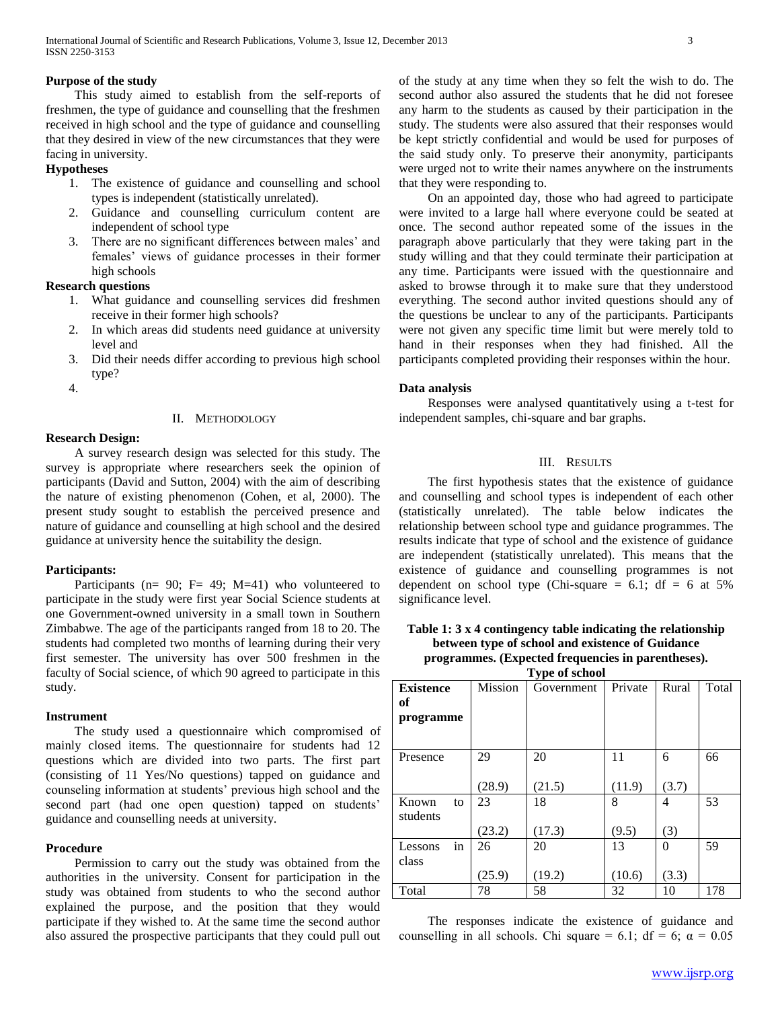## **Purpose of the study**

 This study aimed to establish from the self-reports of freshmen, the type of guidance and counselling that the freshmen received in high school and the type of guidance and counselling that they desired in view of the new circumstances that they were facing in university.

# **Hypotheses**

- 1. The existence of guidance and counselling and school types is independent (statistically unrelated).
- 2. Guidance and counselling curriculum content are independent of school type
- 3. There are no significant differences between males' and females' views of guidance processes in their former high schools

# **Research questions**

- 1. What guidance and counselling services did freshmen receive in their former high schools?
- 2. In which areas did students need guidance at university level and
- 3. Did their needs differ according to previous high school type?
- 4.

# II. METHODOLOGY

## **Research Design:**

 A survey research design was selected for this study. The survey is appropriate where researchers seek the opinion of participants (David and Sutton, 2004) with the aim of describing the nature of existing phenomenon (Cohen, et al, 2000). The present study sought to establish the perceived presence and nature of guidance and counselling at high school and the desired guidance at university hence the suitability the design.

## **Participants:**

Participants ( $n= 90$ ;  $F= 49$ ; M=41) who volunteered to participate in the study were first year Social Science students at one Government-owned university in a small town in Southern Zimbabwe. The age of the participants ranged from 18 to 20. The students had completed two months of learning during their very first semester. The university has over 500 freshmen in the faculty of Social science, of which 90 agreed to participate in this study.

## **Instrument**

 The study used a questionnaire which compromised of mainly closed items. The questionnaire for students had 12 questions which are divided into two parts. The first part (consisting of 11 Yes/No questions) tapped on guidance and counseling information at students' previous high school and the second part (had one open question) tapped on students' guidance and counselling needs at university.

# **Procedure**

 Permission to carry out the study was obtained from the authorities in the university. Consent for participation in the study was obtained from students to who the second author explained the purpose, and the position that they would participate if they wished to. At the same time the second author also assured the prospective participants that they could pull out of the study at any time when they so felt the wish to do. The second author also assured the students that he did not foresee any harm to the students as caused by their participation in the study. The students were also assured that their responses would be kept strictly confidential and would be used for purposes of the said study only. To preserve their anonymity, participants were urged not to write their names anywhere on the instruments that they were responding to.

 On an appointed day, those who had agreed to participate were invited to a large hall where everyone could be seated at once. The second author repeated some of the issues in the paragraph above particularly that they were taking part in the study willing and that they could terminate their participation at any time. Participants were issued with the questionnaire and asked to browse through it to make sure that they understood everything. The second author invited questions should any of the questions be unclear to any of the participants. Participants were not given any specific time limit but were merely told to hand in their responses when they had finished. All the participants completed providing their responses within the hour.

## **Data analysis**

 Responses were analysed quantitatively using a t-test for independent samples, chi-square and bar graphs.

# III. RESULTS

 The first hypothesis states that the existence of guidance and counselling and school types is independent of each other (statistically unrelated). The table below indicates the relationship between school type and guidance programmes. The results indicate that type of school and the existence of guidance are independent (statistically unrelated). This means that the existence of guidance and counselling programmes is not dependent on school type (Chi-square  $= 6.1$ ; df  $= 6$  at 5% significance level.

## **Table 1: 3 x 4 contingency table indicating the relationship between type of school and existence of Guidance programmes. (Expected frequencies in parentheses). Type of school**

| <b>Existence</b><br>of<br>programme | Mission      | $-71$ $-22$<br>Government | Private      | Rural             | Total |
|-------------------------------------|--------------|---------------------------|--------------|-------------------|-------|
| Presence                            | 29<br>(28.9) | 20<br>(21.5)              | 11<br>(11.9) | 6<br>(3.7)        | 66    |
| Known<br>to<br>students             | 23<br>(23.2) | 18<br>(17.3)              | 8<br>(9.5)   | 4<br>(3)          | 53    |
| in<br>Lessons<br>class              | 26<br>(25.9) | 20<br>(19.2)              | 13<br>(10.6) | $\Omega$<br>(3.3) | 59    |
| Total                               | 78           | 58                        | 32           | 10                | 178   |

 The responses indicate the existence of guidance and counselling in all schools. Chi square = 6.1; df = 6;  $\alpha$  = 0.05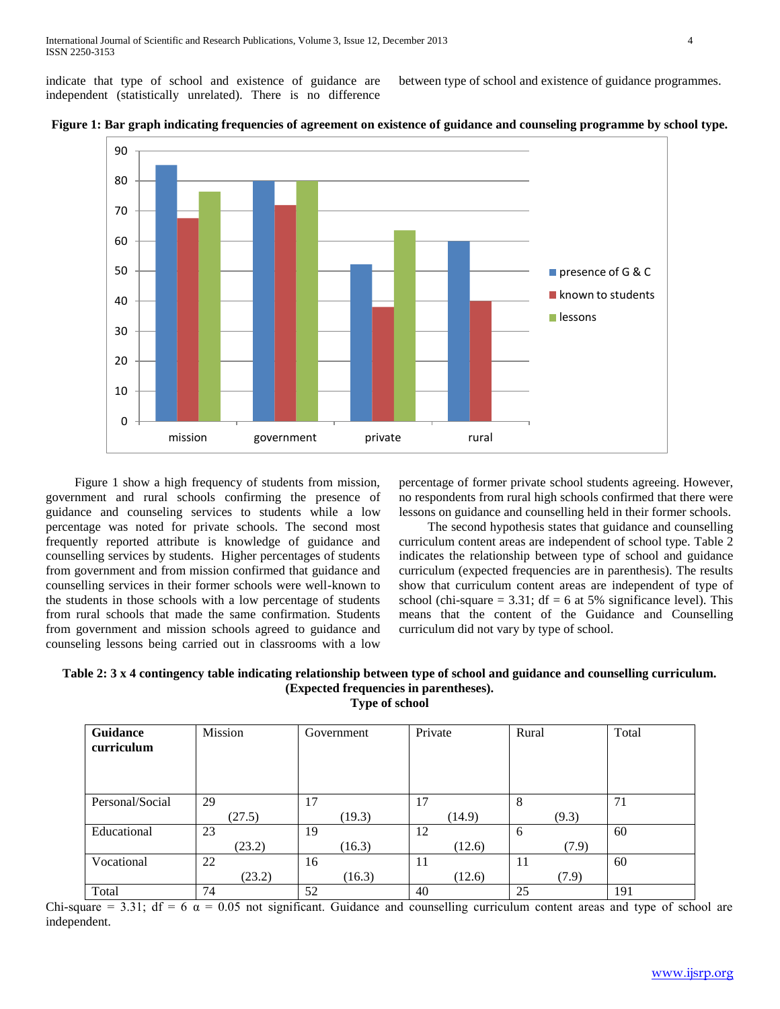indicate that type of school and existence of guidance are independent (statistically unrelated). There is no difference between type of school and existence of guidance programmes.





 Figure 1 show a high frequency of students from mission, government and rural schools confirming the presence of guidance and counseling services to students while a low percentage was noted for private schools. The second most frequently reported attribute is knowledge of guidance and counselling services by students. Higher percentages of students from government and from mission confirmed that guidance and counselling services in their former schools were well-known to the students in those schools with a low percentage of students from rural schools that made the same confirmation. Students from government and mission schools agreed to guidance and counseling lessons being carried out in classrooms with a low

percentage of former private school students agreeing. However, no respondents from rural high schools confirmed that there were lessons on guidance and counselling held in their former schools.

 The second hypothesis states that guidance and counselling curriculum content areas are independent of school type. Table 2 indicates the relationship between type of school and guidance curriculum (expected frequencies are in parenthesis). The results show that curriculum content areas are independent of type of school (chi-square  $= 3.31$ ; df  $= 6$  at 5% significance level). This means that the content of the Guidance and Counselling curriculum did not vary by type of school.

# **Table 2: 3 x 4 contingency table indicating relationship between type of school and guidance and counselling curriculum. (Expected frequencies in parentheses). Type of school**

**Guidance curriculum** Mission Government Private Rural Total Personal/Social 29 (27.5) 17 (19.3) 17 (14.9) 8 (9.3) 71 Educational 23 (23.2) 19 (16.3) 12 (12.6) 6 (7.9) 60 Vocational 22 (23.2) 16 (16.3) 11 (12.6) 11 (7.9) 60 Total  $\begin{array}{|c|c|c|c|c|c|c|c|c|} \hline 74 & 52 & 40 & 25 & 191 \ \hline \end{array}$ Chi-square = 3.31; df = 6  $\alpha$  = 0.05 not significant. Guidance and counselling curriculum content areas and type of school are

independent.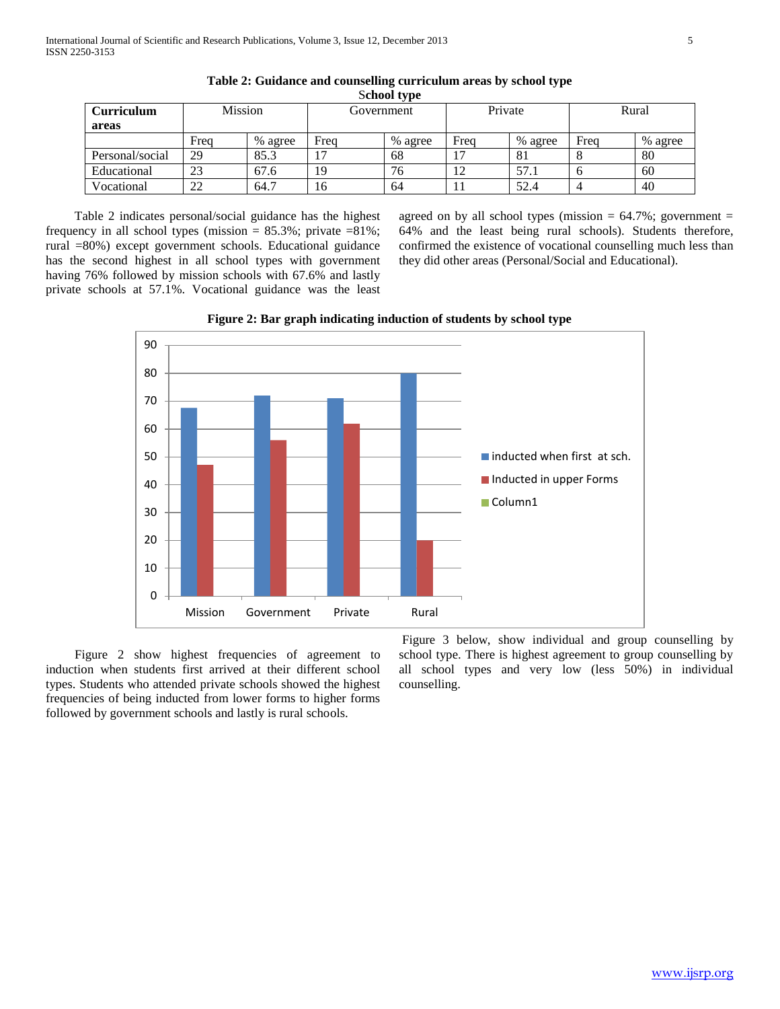| Curriculum      | Mission  |         | Government |         | Private        |         | Rural |         |
|-----------------|----------|---------|------------|---------|----------------|---------|-------|---------|
| areas           | Frea     | % agree | Frea       | % agree | Freq           | % agree | Frea  | % agree |
| Personal/social | 29       | 85.3    |            | 68      | $\overline{ }$ | 81      |       | 80      |
| Educational     | 23       | 67.6    | 19         | 76      | 12             | 57.1    |       | 60      |
| Vocational      | つつ<br>∠∠ | 64.7    | 16         | 64      |                | 52.4    |       | 40      |

**Table 2: Guidance and counselling curriculum areas by school type** S**chool type**

 Table 2 indicates personal/social guidance has the highest frequency in all school types (mission  $= 85.3\%$ ; private  $= 81\%$ ; rural =80%) except government schools. Educational guidance has the second highest in all school types with government having 76% followed by mission schools with 67.6% and lastly private schools at 57.1%. Vocational guidance was the least agreed on by all school types (mission  $= 64.7\%$ ; government  $=$ 64% and the least being rural schools). Students therefore, confirmed the existence of vocational counselling much less than they did other areas (Personal/Social and Educational).



Mission Government Private Rural

**Figure 2: Bar graph indicating induction of students by school type**

 Figure 2 show highest frequencies of agreement to induction when students first arrived at their different school types. Students who attended private schools showed the highest frequencies of being inducted from lower forms to higher forms followed by government schools and lastly is rural schools.

0

Figure 3 below, show individual and group counselling by school type. There is highest agreement to group counselling by all school types and very low (less 50%) in individual counselling.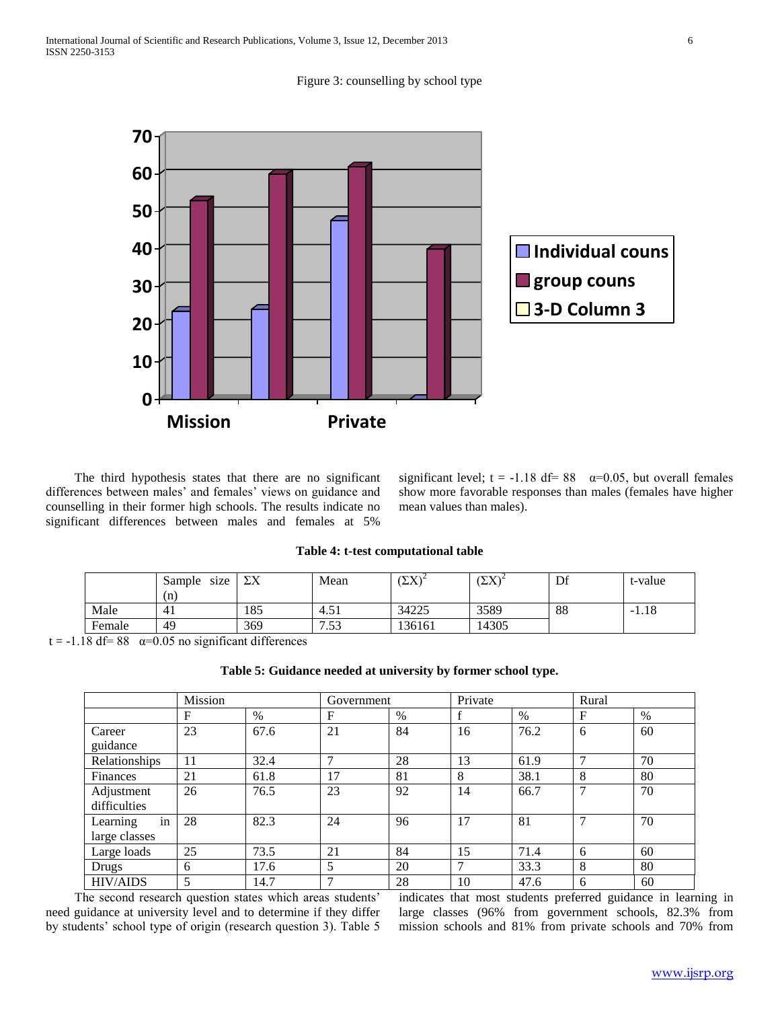Figure 3: counselling by school type



 The third hypothesis states that there are no significant differences between males' and females' views on guidance and counselling in their former high schools. The results indicate no significant differences between males and females at 5%

significant level;  $t = -1.18$  df= 88  $\alpha = 0.05$ , but overall females show more favorable responses than males (females have higher mean values than males).

#### **Table 4: t-test computational table**

|        | size<br>Sample<br>(n) | $\boldsymbol{\nabla}$<br>ZΛ | Mean          | $\sqrt{N}$<br>$L_{\Lambda}$ | $(\nabla \mathbf{V})^2$<br>$\Delta\Lambda$ | Df | t-value |
|--------|-----------------------|-----------------------------|---------------|-----------------------------|--------------------------------------------|----|---------|
| Male   | -41                   | 185                         | 51<br>$-4.5.$ | 34225                       | 3589                                       | 88 | $-1.18$ |
| Female | 49                    | 369                         | 1.53<br>⇁     | 136161                      | 14305                                      |    |         |

t = -1.18 df= 88  $\alpha$ =0.05 no significant differences

| Table 5: Guidance needed at university by former school type. |
|---------------------------------------------------------------|
|---------------------------------------------------------------|

|                 | Mission |      | Government    |      | Private |      | Rural |      |
|-----------------|---------|------|---------------|------|---------|------|-------|------|
|                 | F       | $\%$ | F             | $\%$ |         | $\%$ | F     | $\%$ |
| Career          | 23      | 67.6 | 21            | 84   | 16      | 76.2 | 6     | 60   |
| guidance        |         |      |               |      |         |      |       |      |
| Relationships   | 11      | 32.4 | $\mathcal{I}$ | 28   | 13      | 61.9 | 7     | 70   |
| Finances        | 21      | 61.8 | 17            | 81   | 8       | 38.1 | 8     | 80   |
| Adjustment      | 26      | 76.5 | 23            | 92   | 14      | 66.7 | 7     | 70   |
| difficulties    |         |      |               |      |         |      |       |      |
| in<br>Learning  | 28      | 82.3 | 24            | 96   | 17      | 81   |       | 70   |
| large classes   |         |      |               |      |         |      |       |      |
| Large loads     | 25      | 73.5 | 21            | 84   | 15      | 71.4 | 6     | 60   |
| Drugs           | 6       | 17.6 | 5             | 20   | 7       | 33.3 | 8     | 80   |
| <b>HIV/AIDS</b> | 5       | 14.7 | 7             | 28   | 10      | 47.6 | 6     | 60   |

 The second research question states which areas students' need guidance at university level and to determine if they differ by students' school type of origin (research question 3). Table 5 indicates that most students preferred guidance in learning in large classes (96% from government schools, 82.3% from mission schools and 81% from private schools and 70% from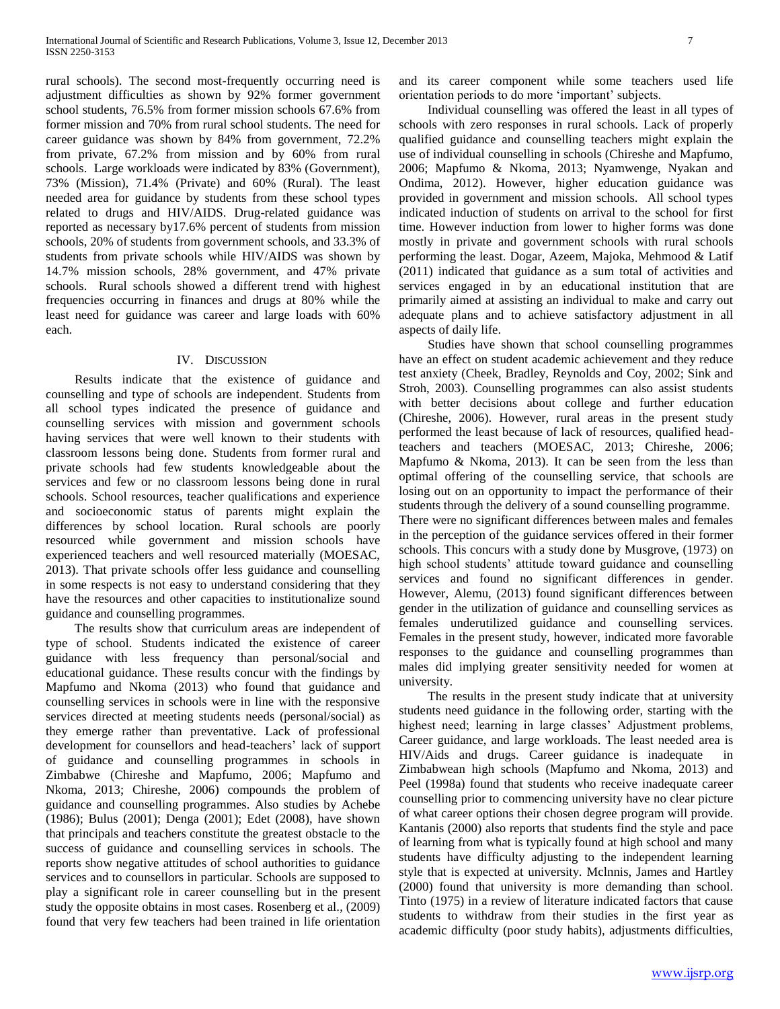rural schools). The second most-frequently occurring need is adjustment difficulties as shown by 92% former government school students, 76.5% from former mission schools 67.6% from former mission and 70% from rural school students. The need for career guidance was shown by 84% from government, 72.2% from private, 67.2% from mission and by 60% from rural schools. Large workloads were indicated by 83% (Government), 73% (Mission), 71.4% (Private) and 60% (Rural). The least needed area for guidance by students from these school types related to drugs and HIV/AIDS. Drug-related guidance was reported as necessary by17.6% percent of students from mission schools, 20% of students from government schools, and 33.3% of students from private schools while HIV/AIDS was shown by 14.7% mission schools, 28% government, and 47% private schools. Rural schools showed a different trend with highest frequencies occurring in finances and drugs at 80% while the least need for guidance was career and large loads with 60% each.

## IV. DISCUSSION

 Results indicate that the existence of guidance and counselling and type of schools are independent. Students from all school types indicated the presence of guidance and counselling services with mission and government schools having services that were well known to their students with classroom lessons being done. Students from former rural and private schools had few students knowledgeable about the services and few or no classroom lessons being done in rural schools. School resources, teacher qualifications and experience and socioeconomic status of parents might explain the differences by school location. Rural schools are poorly resourced while government and mission schools have experienced teachers and well resourced materially (MOESAC, 2013). That private schools offer less guidance and counselling in some respects is not easy to understand considering that they have the resources and other capacities to institutionalize sound guidance and counselling programmes.

 The results show that curriculum areas are independent of type of school. Students indicated the existence of career guidance with less frequency than personal/social and educational guidance. These results concur with the findings by Mapfumo and Nkoma (2013) who found that guidance and counselling services in schools were in line with the responsive services directed at meeting students needs (personal/social) as they emerge rather than preventative. Lack of professional development for counsellors and head-teachers' lack of support of guidance and counselling programmes in schools in Zimbabwe (Chireshe and Mapfumo, 2006; Mapfumo and Nkoma, 2013; Chireshe, 2006) compounds the problem of guidance and counselling programmes. Also studies by Achebe (1986); Bulus (2001); Denga (2001); Edet (2008), have shown that principals and teachers constitute the greatest obstacle to the success of guidance and counselling services in schools. The reports show negative attitudes of school authorities to guidance services and to counsellors in particular. Schools are supposed to play a significant role in career counselling but in the present study the opposite obtains in most cases. Rosenberg et al., (2009) found that very few teachers had been trained in life orientation

and its career component while some teachers used life orientation periods to do more 'important' subjects.

 Individual counselling was offered the least in all types of schools with zero responses in rural schools. Lack of properly qualified guidance and counselling teachers might explain the use of individual counselling in schools (Chireshe and Mapfumo, 2006; Mapfumo & Nkoma, 2013; Nyamwenge, Nyakan and Ondima, 2012). However, higher education guidance was provided in government and mission schools. All school types indicated induction of students on arrival to the school for first time. However induction from lower to higher forms was done mostly in private and government schools with rural schools performing the least. Dogar, Azeem, Majoka, Mehmood & Latif (2011) indicated that guidance as a sum total of activities and services engaged in by an educational institution that are primarily aimed at assisting an individual to make and carry out adequate plans and to achieve satisfactory adjustment in all aspects of daily life.

 Studies have shown that school counselling programmes have an effect on student academic achievement and they reduce test anxiety (Cheek, Bradley, Reynolds and Coy, 2002; Sink and Stroh, 2003). Counselling programmes can also assist students with better decisions about college and further education (Chireshe, 2006). However, rural areas in the present study performed the least because of lack of resources, qualified headteachers and teachers (MOESAC, 2013; Chireshe, 2006; Mapfumo & Nkoma, 2013). It can be seen from the less than optimal offering of the counselling service, that schools are losing out on an opportunity to impact the performance of their students through the delivery of a sound counselling programme. There were no significant differences between males and females in the perception of the guidance services offered in their former schools. This concurs with a study done by Musgrove, (1973) on high school students' attitude toward guidance and counselling services and found no significant differences in gender. However, Alemu, (2013) found significant differences between gender in the utilization of guidance and counselling services as females underutilized guidance and counselling services. Females in the present study, however, indicated more favorable responses to the guidance and counselling programmes than males did implying greater sensitivity needed for women at university.

 The results in the present study indicate that at university students need guidance in the following order, starting with the highest need; learning in large classes' Adjustment problems, Career guidance, and large workloads. The least needed area is HIV/Aids and drugs. Career guidance is inadequate in Zimbabwean high schools (Mapfumo and Nkoma, 2013) and Peel (1998a) found that students who receive inadequate career counselling prior to commencing university have no clear picture of what career options their chosen degree program will provide. Kantanis (2000) also reports that students find the style and pace of learning from what is typically found at high school and many students have difficulty adjusting to the independent learning style that is expected at university. Mclnnis, James and Hartley (2000) found that university is more demanding than school. Tinto (1975) in a review of literature indicated factors that cause students to withdraw from their studies in the first year as academic difficulty (poor study habits), adjustments difficulties,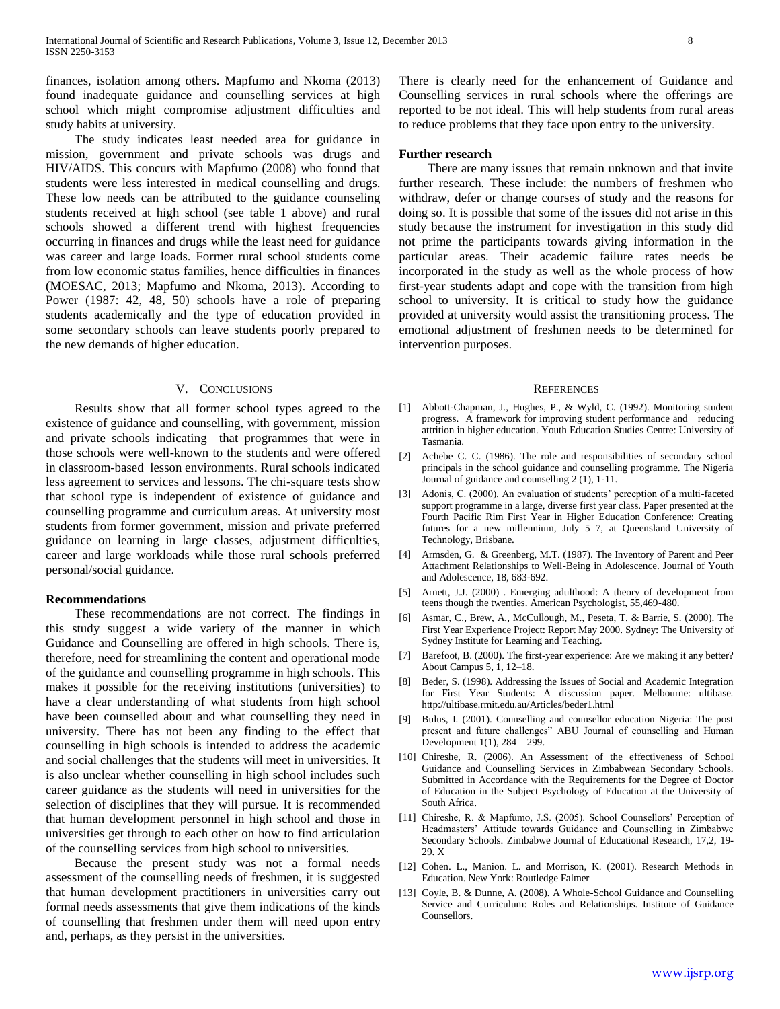finances, isolation among others. Mapfumo and Nkoma (2013) found inadequate guidance and counselling services at high school which might compromise adjustment difficulties and study habits at university.

 The study indicates least needed area for guidance in mission, government and private schools was drugs and HIV/AIDS. This concurs with Mapfumo (2008) who found that students were less interested in medical counselling and drugs. These low needs can be attributed to the guidance counseling students received at high school (see table 1 above) and rural schools showed a different trend with highest frequencies occurring in finances and drugs while the least need for guidance was career and large loads. Former rural school students come from low economic status families, hence difficulties in finances (MOESAC, 2013; Mapfumo and Nkoma, 2013). According to Power (1987: 42, 48, 50) schools have a role of preparing students academically and the type of education provided in some secondary schools can leave students poorly prepared to the new demands of higher education.

#### V. CONCLUSIONS

 Results show that all former school types agreed to the existence of guidance and counselling, with government, mission and private schools indicating that programmes that were in those schools were well-known to the students and were offered in classroom-based lesson environments. Rural schools indicated less agreement to services and lessons. The chi-square tests show that school type is independent of existence of guidance and counselling programme and curriculum areas. At university most students from former government, mission and private preferred guidance on learning in large classes, adjustment difficulties, career and large workloads while those rural schools preferred personal/social guidance.

## **Recommendations**

 These recommendations are not correct. The findings in this study suggest a wide variety of the manner in which Guidance and Counselling are offered in high schools. There is, therefore, need for streamlining the content and operational mode of the guidance and counselling programme in high schools. This makes it possible for the receiving institutions (universities) to have a clear understanding of what students from high school have been counselled about and what counselling they need in university. There has not been any finding to the effect that counselling in high schools is intended to address the academic and social challenges that the students will meet in universities. It is also unclear whether counselling in high school includes such career guidance as the students will need in universities for the selection of disciplines that they will pursue. It is recommended that human development personnel in high school and those in universities get through to each other on how to find articulation of the counselling services from high school to universities.

 Because the present study was not a formal needs assessment of the counselling needs of freshmen, it is suggested that human development practitioners in universities carry out formal needs assessments that give them indications of the kinds of counselling that freshmen under them will need upon entry and, perhaps, as they persist in the universities.

There is clearly need for the enhancement of Guidance and Counselling services in rural schools where the offerings are reported to be not ideal. This will help students from rural areas to reduce problems that they face upon entry to the university.

#### **Further research**

 There are many issues that remain unknown and that invite further research. These include: the numbers of freshmen who withdraw, defer or change courses of study and the reasons for doing so. It is possible that some of the issues did not arise in this study because the instrument for investigation in this study did not prime the participants towards giving information in the particular areas. Their academic failure rates needs be incorporated in the study as well as the whole process of how first-year students adapt and cope with the transition from high school to university. It is critical to study how the guidance provided at university would assist the transitioning process. The emotional adjustment of freshmen needs to be determined for intervention purposes.

#### **REFERENCES**

- [1] Abbott-Chapman, J., Hughes, P., & Wyld, C. (1992). Monitoring student progress. A framework for improving student performance and reducing attrition in higher education. Youth Education Studies Centre: University of Tasmania.
- [2] Achebe C. C. (1986). The role and responsibilities of secondary school principals in the school guidance and counselling programme. The Nigeria Journal of guidance and counselling 2 (1), 1-11.
- Adonis, C. (2000). An evaluation of students' perception of a multi-faceted support programme in a large, diverse first year class. Paper presented at the Fourth Pacific Rim First Year in Higher Education Conference: Creating futures for a new millennium, July 5–7, at Queensland University of Technology, Brisbane.
- [4] Armsden, G. & Greenberg, M.T. (1987). The Inventory of Parent and Peer Attachment Relationships to Well-Being in Adolescence. Journal of Youth and Adolescence, 18, 683-692.
- [5] Arnett, J.J. (2000). Emerging adulthood: A theory of development from teens though the twenties. American Psychologist, 55,469-480.
- [6] Asmar, C., Brew, A., McCullough, M., Peseta, T. & Barrie, S. (2000). The First Year Experience Project: Report May 2000. Sydney: The University of Sydney Institute for Learning and Teaching.
- [7] Barefoot, B. (2000). The first-year experience: Are we making it any better? About Campus 5, 1, 12–18.
- [8] Beder, S. (1998). Addressing the Issues of Social and Academic Integration for First Year Students: A discussion paper. Melbourne: ultibase. http://ultibase.rmit.edu.au/Articles/beder1.html
- [9] Bulus, I. (2001). Counselling and counsellor education Nigeria: The post present and future challenges" ABU Journal of counselling and Human Development 1(1), 284 – 299.
- [10] Chireshe, R. (2006). An Assessment of the effectiveness of School Guidance and Counselling Services in Zimbabwean Secondary Schools. Submitted in Accordance with the Requirements for the Degree of Doctor of Education in the Subject Psychology of Education at the University of South Africa.
- [11] Chireshe, R. & Mapfumo, J.S. (2005). School Counsellors' Perception of Headmasters' Attitude towards Guidance and Counselling in Zimbabwe Secondary Schools. Zimbabwe Journal of Educational Research, 17,2, 19- 29. X
- [12] Cohen. L., Manion. L. and Morrison, K. (2001). Research Methods in Education. New York: Routledge Falmer
- [13] Coyle, B. & Dunne, A. (2008). A Whole-School Guidance and Counselling Service and Curriculum: Roles and Relationships. Institute of Guidance Counsellors.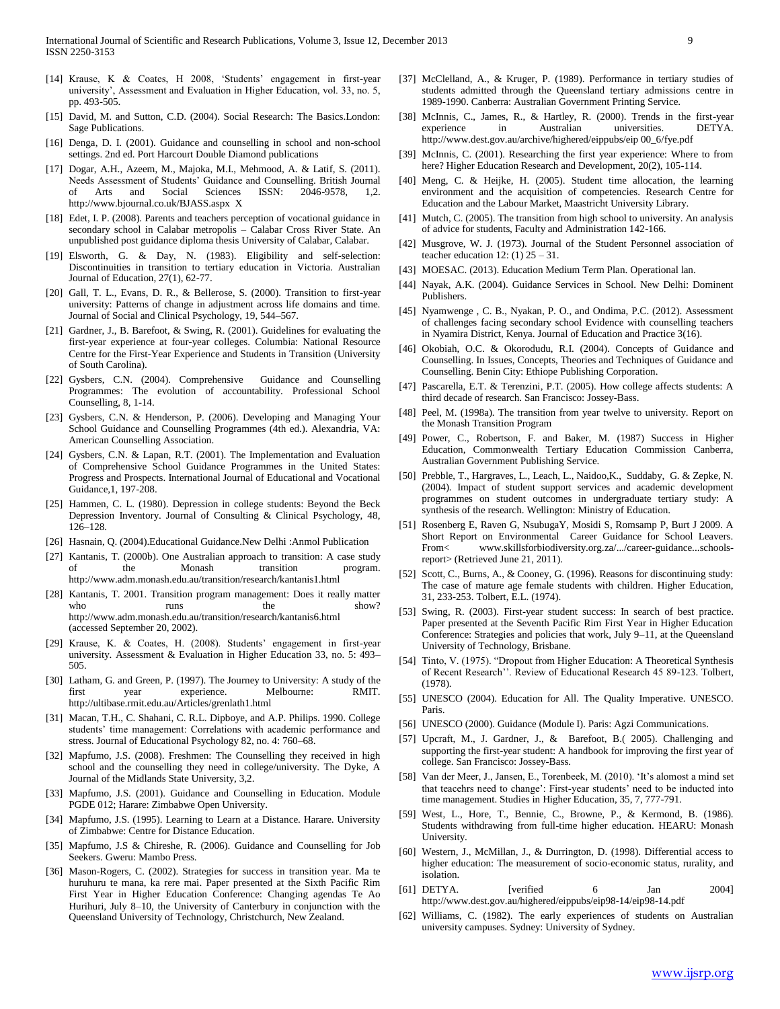- [14] Krause, K & Coates, H 2008, 'Students' engagement in first-year university', Assessment and Evaluation in Higher Education, vol. 33, no. 5, pp. 493-505.
- [15] David, M. and Sutton, C.D. (2004). Social Research: The Basics.London: Sage Publications.
- [16] Denga, D. I. (2001). Guidance and counselling in school and non-school settings. 2nd ed. Port Harcourt Double Diamond publications
- [17] Dogar, A.H., Azeem, M., Majoka, M.I., Mehmood, A. & Latif, S. (2011). Needs Assessment of Students' Guidance and Counselling. British Journal of Arts and Social Sciences ISSN: 2046-9578, 1,2. http://www.bjournal.co.uk/BJASS.aspx X
- [18] Edet, I. P. (2008). Parents and teachers perception of vocational guidance in secondary school in Calabar metropolis – Calabar Cross River State. An unpublished post guidance diploma thesis University of Calabar, Calabar.
- [19] Elsworth, G. & Day, N. (1983). Eligibility and self-selection: Discontinuities in transition to tertiary education in Victoria. Australian Journal of Education, 27(1), 62-77.
- [20] Gall, T. L., Evans, D. R., & Bellerose, S. (2000). Transition to first-year university: Patterns of change in adjustment across life domains and time. Journal of Social and Clinical Psychology, 19, 544–567.
- [21] Gardner, J., B. Barefoot, & Swing, R. (2001). Guidelines for evaluating the first-year experience at four-year colleges. Columbia: National Resource Centre for the First-Year Experience and Students in Transition (University of South Carolina).
- [22] Gysbers, C.N. (2004). Comprehensive Guidance and Counselling Programmes: The evolution of accountability. Professional School Counselling, 8, 1-14.
- [23] Gysbers, C.N. & Henderson, P. (2006). Developing and Managing Your School Guidance and Counselling Programmes (4th ed.). Alexandria, VA: American Counselling Association.
- [24] Gysbers, C.N. & Lapan, R.T. (2001). The Implementation and Evaluation of Comprehensive School Guidance Programmes in the United States: Progress and Prospects. International Journal of Educational and Vocational Guidance,1, 197-208.
- [25] Hammen, C. L. (1980). Depression in college students: Beyond the Beck Depression Inventory. Journal of Consulting & Clinical Psychology, 48, 126–128.
- [26] Hasnain, Q. (2004).Educational Guidance.New Delhi :Anmol Publication
- [27] Kantanis, T. (2000b). One Australian approach to transition: A case study of the Monash transition program. http://www.adm.monash.edu.au/transition/research/kantanis1.html
- [28] Kantanis, T. 2001. Transition program management: Does it really matter who runs the show? http://www.adm.monash.edu.au/transition/research/kantanis6.html (accessed September 20, 2002).
- [29] Krause, K. & Coates, H. (2008). Students' engagement in first-year university. Assessment & Evaluation in Higher Education 33, no. 5: 493– 505.
- [30] Latham, G. and Green, P. (1997). The Journey to University: A study of the first year experience. Melbourne: RMIT. http://ultibase.rmit.edu.au/Articles/grenlath1.html
- [31] Macan, T.H., C. Shahani, C. R.L. Dipboye, and A.P. Philips. 1990. College students' time management: Correlations with academic performance and stress. Journal of Educational Psychology 82, no. 4: 760–68.
- [32] Mapfumo, J.S. (2008). Freshmen: The Counselling they received in high school and the counselling they need in college/university. The Dyke, A Journal of the Midlands State University, 3,2.
- [33] Mapfumo, J.S. (2001). Guidance and Counselling in Education. Module PGDE 012; Harare: Zimbabwe Open University.
- [34] Mapfumo, J.S. (1995). Learning to Learn at a Distance. Harare. University of Zimbabwe: Centre for Distance Education.
- [35] Mapfumo, J.S & Chireshe, R. (2006). Guidance and Counselling for Job Seekers. Gweru: Mambo Press.
- [36] Mason-Rogers, C. (2002). Strategies for success in transition year. Ma te huruhuru te mana, ka rere mai. Paper presented at the Sixth Pacific Rim First Year in Higher Education Conference: Changing agendas Te Ao Hurihuri, July 8–10, the University of Canterbury in conjunction with the Queensland University of Technology, Christchurch, New Zealand.
- [37] McClelland, A., & Kruger, P. (1989). Performance in tertiary studies of students admitted through the Queensland tertiary admissions centre in 1989-1990. Canberra: Australian Government Printing Service.
- [38] McInnis, C., James, R., & Hartley, R. (2000). Trends in the first-year experience in Australian universities. DETYA. http://www.dest.gov.au/archive/highered/eippubs/eip 00\_6/fye.pdf
- [39] McInnis, C. (2001). Researching the first year experience: Where to from here? Higher Education Research and Development, 20(2), 105-114.
- [40] Meng, C. & Heijke, H. (2005). Student time allocation, the learning environment and the acquisition of competencies. Research Centre for Education and the Labour Market, Maastricht University Library.
- [41] Mutch, C. (2005). The transition from high school to university. An analysis of advice for students, Faculty and Administration 142-166.
- [42] Musgrove, W. J. (1973). Journal of the Student Personnel association of teacher education 12:  $(1)$  25 – 31.
- [43] MOESAC. (2013). Education Medium Term Plan. Operational lan.
- [44] Nayak, A.K. (2004). Guidance Services in School. New Delhi: Dominent Publishers.
- [45] Nyamwenge, C. B., Nyakan, P. O., and Ondima, P.C. (2012). Assessment of challenges facing secondary school Evidence with counselling teachers in Nyamira District, Kenya. Journal of Education and Practice 3(16).
- [46] Okobiah, O.C. & Okorodudu, R.I. (2004). Concepts of Guidance and Counselling. In Issues, Concepts, Theories and Techniques of Guidance and Counselling. Benin City: Ethiope Publishing Corporation.
- [47] Pascarella, E.T. & Terenzini, P.T. (2005). How college affects students: A third decade of research. San Francisco: Jossey-Bass.
- [48] Peel, M. (1998a). The transition from year twelve to university. Report on the Monash Transition Program
- [49] Power, C., Robertson, F. and Baker, M. (1987) Success in Higher Education, Commonwealth Tertiary Education Commission Canberra, Australian Government Publishing Service.
- [50] Prebble, T., Hargraves, L., Leach, L., Naidoo,K., Suddaby, G. & Zepke, N. (2004). Impact of student support services and academic development programmes on student outcomes in undergraduate tertiary study: A synthesis of the research. Wellington: Ministry of Education.
- [51] Rosenberg E, Raven G, NsubugaY, Mosidi S, Romsamp P, Burt J 2009. A Short Report on Environmental Career Guidance for School Leavers. From< www.skillsforbiodiversity.org.za/.../career-guidance...schoolsreport> (Retrieved June 21, 2011).
- [52] Scott, C., Burns, A., & Cooney, G. (1996). Reasons for discontinuing study: The case of mature age female students with children. Higher Education, 31, 233-253. Tolbert, E.L. (1974).
- [53] Swing, R. (2003). First-year student success: In search of best practice. Paper presented at the Seventh Pacific Rim First Year in Higher Education Conference: Strategies and policies that work, July 9–11, at the Queensland University of Technology, Brisbane.
- [54] Tinto, V. (1975). "Dropout from Higher Education: A Theoretical Synthesis of Recent Research''. Review of Educational Research 45 89-123. Tolbert, (1978).
- [55] UNESCO (2004). Education for All. The Quality Imperative. UNESCO. Paris.
- [56] UNESCO (2000). Guidance (Module I). Paris: Agzi Communications.
- [57] Upcraft, M., J. Gardner, J., & Barefoot, B.( 2005). Challenging and supporting the first-year student: A handbook for improving the first year of college. San Francisco: Jossey-Bass.
- [58] Van der Meer, J., Jansen, E., Torenbeek, M. (2010). 'It's alomost a mind set that teacehrs need to change': First-year students' need to be inducted into time management. Studies in Higher Education, 35, 7, 777-791.
- [59] West, L., Hore, T., Bennie, C., Browne, P., & Kermond, B. (1986). Students withdrawing from full-time higher education. HEARU: Monash University.
- [60] Western, J., McMillan, J., & Durrington, D. (1998). Differential access to higher education: The measurement of socio-economic status, rurality, and isolation.
- [61] DETYA. [verified 6 Jan 2004] http://www.dest.gov.au/highered/eippubs/eip98-14/eip98-14.pdf
- [62] Williams, C. (1982). The early experiences of students on Australian university campuses. Sydney: University of Sydney.